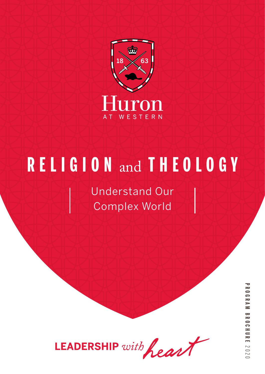

# **RELIGION** and **THEOLOGY**

Understand Our Complex World



**PROGRAM BROCHUREPROGRAM BROCHURE 2020**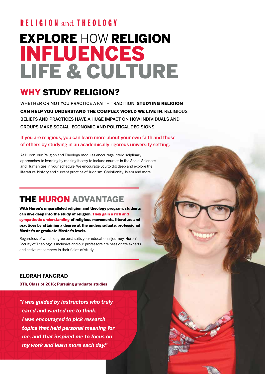## EXPLORE HOW RELIGION INFLUENCES LIFE & CULTURE **RELIGION** and **THEOLOGY**

### WHY STUDY RELIGION?

WHETHER OR NOT YOU PRACTICE A FAITH TRADITION. **STUDYING RELIGION** CAN HELP YOU UNDERSTAND THE COMPLEX WORLD WE LIVE IN. RELIGIOUS BELIEFS AND PRACTICES HAVE A HUGE IMPACT ON HOW INDIVIDUALS AND GROUPS MAKE SOCIAL, ECONOMIC AND POLITICAL DECISIONS.

If you are religious, you can learn more about your own faith and those of others by studying in an academically rigorous university setting.

At Huron, our Religion and Theology modules encourage interdisciplinary approaches to learning by making it easy to include courses in the Social Sciences and Humanities in your schedule. We encourage you to dig deep and explore the literature, history and current practice of Judaism, Christianity, Islam and more.

### THE HURON ADVANTAGE

With Huron's unparalleled religion and theology program, students can dive deep into the study of religion. They gain a rich and sympathetic understanding of religious movements, literature and practices by attaining a degree at the undergraduate, professional Master's or graduate Master's levels.

Regardless of which degree best suits your educational journey, Huron's Faculty of Theology is inclusive and our professors are passionate experts and active researchers in their fields of study.

### **ELORAH FANGRAD**

**BTh, Class of 2016; Pursuing graduate studies** 

*"I was guided by instructors who truly cared and wanted me to think. I was encouraged to pick research topics that held personal meaning for me, and that inspired me to focus on my work and learn more each day."*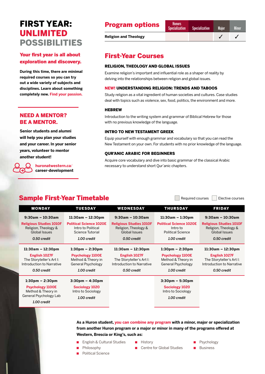### FIRST YEAR: UNLIMITED POSSIBILITIES

### Your first year is all about exploration and discovery.

**During this time, there are minimal required courses so you can try out a wide variety of subjects and disciplines. Learn about something completely new. Find your passion.**

### NEED A MENTOR? BE A MENTOR.

**Senior students and alumni will help you plan your studies and your career. In your senior years, volunteer to mentor another student!** 

> **huronatwestern.ca**/ **career-development**

### **Program options** Honors

**Religion and Theology**  $\checkmark$  **√ √ √** 

### First-Year Courses

#### RELIGION, THEOLOGY AND GLOBAL ISSUES

Examine religion's important and influential role as a shaper of reality by delving into the relationships between religion and global issues.

#### NEW! UNDERSTANDING RELIGION: TRENDS AND TABOOS

Study religion as a vital ingredient of human societies and cultures. Case studies deal with topics such as violence, sex, food, politics, the environment and more.

#### **HEBREW**

Introduction to the writing system and grammar of Biblical Hebrew for those with no previous knowledge of the language.

#### INTRO TO NEW TESTAMENT GREEK

Equip yourself with enough grammar and vocabulary so that you can read the New Testament on your own. For students with no prior knowledge of the language.

#### QUR'ANIC ARABIC FOR BEGINNERS

Acquire core vocabulary and dive into basic grammar of the classical Arabic necessary to understand short Qur'anic chapters.

### Sample First-Year Timetable **Sample First-Year Timetable**

| <b>MONDAY</b>                                                                          | <b>TUESDAY</b>                                                                     | <b>WEDNESDAY</b>                                                                      | <b>THURSDAY</b>                                                                    | <b>FRIDAY</b>                                                                                |
|----------------------------------------------------------------------------------------|------------------------------------------------------------------------------------|---------------------------------------------------------------------------------------|------------------------------------------------------------------------------------|----------------------------------------------------------------------------------------------|
| $9:30$ am - 10:30am                                                                    | $11:30$ am – $12:30$ pm                                                            | $9:30$ am - 10:30am                                                                   | $11:30am - 1:30pm$                                                                 | $9:30$ am - 10:30am                                                                          |
| <b>Religious Studies 1010F</b><br>Religion, Theology &<br>Global Issues                | <b>Political Science 1020E</b><br>Intro to Political<br>Science Tutorial           | <b>Religious Studies 1010F</b><br>Religion, Theology &<br>Global Issues               | <b>Political Science 1020E</b><br>Intro to<br><b>Political Science</b>             | <b>Religious Studies 1010F</b><br>Religion, Theology &<br>Global Issues                      |
| 0.50 credit                                                                            | 1.00 credit                                                                        | 0.50 credit                                                                           | 1.00 credit                                                                        | 0.50 credit                                                                                  |
| $11:30am - 12:30pm$                                                                    | $1:30 \text{pm} - 2:30 \text{pm}$                                                  | $11:30am - 12:30pm$                                                                   | $1:30pm - 2:30pm$                                                                  | $11:30am - 12:30pm$                                                                          |
| English 1027F<br>The Storyteller's Art I:<br>Introduction to Narrative<br>0.50 credit  | <b>Psychology 1100E</b><br>Method & Theory in<br>General Psychology<br>1.00 credit | English 1027F<br>The Storyteller's Art I:<br>Introduction to Narrative<br>0.50 credit | <b>Psychology 1100E</b><br>Method & Theory in<br>General Psychology<br>1.00 credit | <b>English 1027F</b><br>The Storyteller's Art I:<br>Introduction to Narrative<br>0.50 credit |
| $1:30 \text{pm} - 2:30 \text{pm}$                                                      | $3:30 \text{pm} - 4:30 \text{pm}$                                                  |                                                                                       | $3:30 \text{pm} - 5:30 \text{pm}$                                                  |                                                                                              |
| <b>Psychology 1100E</b><br>Method & Theory in<br>General Psychology Lab<br>1.00 credit | Sociology 1020<br>Intro to Sociology                                               |                                                                                       | Sociology 1020<br>Intro to Sociology                                               |                                                                                              |
|                                                                                        | 1.00 credit                                                                        |                                                                                       | 1.00 credit                                                                        |                                                                                              |

**As a Huron student, you can combine any program with a minor, major or specialization from another Huron program or a major or minor in many of the programs offered at Western, Brescia or King's, such as:** 

- English & Cultural Studies
- Philosophy
- Political Science
- History
- Centre for Global Studies
- Psychology
- Business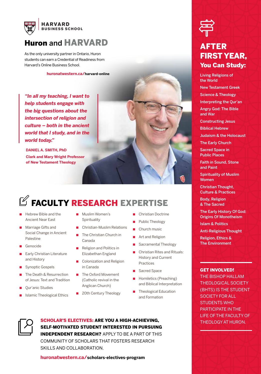

### Huron and HARVARD

As the only university partner in Ontario, Huron students can earn a Credential of Readiness from Harvard's Online Business School.

**huronatwestern.ca/harvard-online**

*"In all my teaching, I want to help students engage with the big questions about the intersection of religion and culture – both in the ancient world that I study, and in the world today."*

**DANIEL A. SMITH, PhD Clark and Mary Wright Professor of New Testament Theology**



## $\mathbb Z$  FACULTY RESEARCH EXPERTISE

- Hebrew Bible and the Ancient Near East
- Marriage Gifts and Social Change in Ancient Palestine
- **Genocide**
- **Early Christian Literature** and History
- Synoptic Gospels
- The Death & Resurrection of Jesus: Text and Tradition
- Qur'anic Studies
- **Islamic Theological Ethics**
- Muslim Women's **Spirituality**
- Christian-Muslim Relations
- The Christian Church in Canada
- Religion and Politics in Elizabethan England
- Colonization and Religion in Canada
- The Oxford Movement (Catholic revival in the Anglican Church)
- 20th Century Theology
- Christian Doctrine
- Public Theology
- Church music
- Art and Religion
- Sacramental Theology
- Christian Rites and Rituals: History and Current Practices
- Sacred Space
- Homiletics (Preaching) and Biblical Interpretation
- Theological Education and Formation



### AFTER FIRST YEAR, You Can Study:

Living Religions of the World

New Testament Greek

Science & Theology

Interpreting the Qur'an

Angry God: The Bible and War

Constructing Jesus

Biblical Hebrew

Judaism & the Holocaust

The Early Church

Sacred Space in Public Places

Faith in Sound, Stone and Paint

Spirituality of Muslim Women

Christian Thought, Culture & Practices

Body, Religion & The Sacred

The Early History Of God: Origins Of Monotheism

Islam & Politics

Anti-Religious Thought

Religion, Ethics & The Environment

#### GET INVOLVED!

THE BISHOP HALLAM THEOLOGICAL SOCIETY (BHTS) IS THE STUDENT SOCIETY FOR ALL STUDENTS WHO PARTICIPATE IN THE LIFE OF THE FACULTY OF



SCHOLAR'S ELECTIVES: ARE YOU A HIGH-ACHIEVING, THEOLOGY AT HURON. SELF-MOTIVATED STUDENT INTERESTED IN PURSUING INDEPENDENT RESEARCH? APPLY TO BE A PART OF THIS COMMUNITY OF SCHOLARS THAT FOSTERS RESEARCH SKILLS AND COLLABORATION.

**huronatwestern.ca/scholars-electives-program**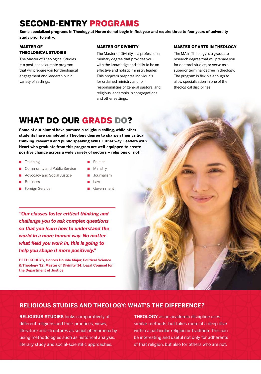### SECOND-ENTRY PROGRAMS

**Some specialized programs in Theology at Huron do not begin in first year and require three to four years of university study prior to entry.**

#### MASTER OF THEOLOGICAL STUDIES

The Master of Theological Studies is a post-baccalaureate program that will prepare you for theological engagement and leadership in a variety of settings.

#### MASTER OF DIVINITY

The Master of Divinity is a professional ministry degree that provides you with the knowledge and skills to be an effective and holistic ministry leader. This program prepares individuals for ordained ministry and for responsibilities of general pastoral and religious leadership in congregations and other settings.

#### MASTER OF ARTS IN THEOLOGY

The MA in Theology is a graduate research degree that will prepare you for doctoral studies, or serve as a superior terminal degree in theology. The program is flexible enough to allow specialization in one of the theological disciplines.

### WHAT DO OUR GRADS DO?

**Some of our alumni have pursued a religious calling, while other students have completed a Theology degree to sharpen their critical thinking, research and public speaking skills. Either way, Leaders with Heart who graduate from this program are well-equipped to create positive change across a wide variety of sectors – religious or not!** 

- Teaching
- Community and Public Service
- Advocacy and Social Justice
- **Business**
- Foreign Service
- Politics
- Ministry
- Journalism
- Law
- **Government**

*"Our classes foster critical thinking and challenge you to ask complex questions so that you learn how to understand the world in a more human way. No matter what field you work in, this is going to help you shape it more positively."* 

**BETH KOUDYS, Honors Double Major, Political Science & Theology '12; Master of Divinity '14; Legal Counsel for the Department of Justice** 

### **RELIGIOUS STUDIES AND THEOLOGY: WHAT'S THE DIFFERENCE?**

**RELIGIOUS STUDIES** looks comparatively at different religions and their practices, views, literature and structures as social phenomena by using methodologies such as historical analysis, literary study and social-scientific approaches.

**THEOLOGY** as an academic discipline uses similar methods, but takes more of a deep dive within a particular religion or tradition. This can be interesting and useful not only for adherents of that religion, but also for others who are not.